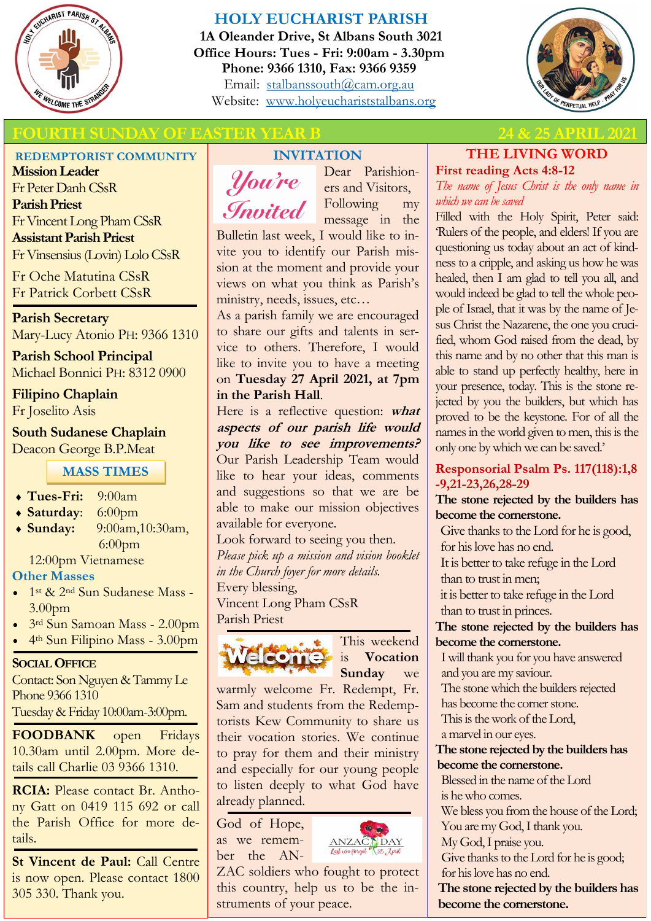

# **HOLY EUCHARIST PARISH**

**1A Oleander Drive, St Albans South 3021 Office Hours: Tues - Fri: 9:00am - 3.30pm Phone: 9366 1310, Fax: 9366 9359** Email: [stalbanssouth@cam.org.au](mailto:stalbanssouth@cam.org.au) Website:[www.holyeuchariststalbans.org](http://www.holyeuchariststalbans.org)



# **FOURTH SUNDAY OF EASTER YEAR B 24 & 25 APRIL 2021**

#### **REDEMPTORIST COMMUNITY**

**Mission Leader** Fr Peter Danh CSsR **Parish Priest** Fr Vincent Long Pham CSsR **Assistant Parish Priest**  Fr Vinsensius (Lovin) Lolo CSsR

Fr Oche Matutina CSsR Fr Patrick Corbett CSsR

**Parish Secretary** Mary-Lucy Atonio PH: 9366 1310

**Parish School Principal** Michael Bonnici PH: 8312 0900

**Filipino Chaplain** Fr Joselito Asis

**South Sudanese Chaplain** Deacon George B.P.Meat

**MASS TIMES**

- **Tues-Fri:** 9:00am
- **Saturday**: 6:00pm
- **Sunday:** 9:00am,10:30am, 6:00pm

12:00pm Vietnamese

#### **Other Masses**

- 1<sup>st</sup> & 2<sup>nd</sup> Sun Sudanese Mass -3.00pm
- 3rd Sun Samoan Mass 2.00pm
- 4<sup>th</sup> Sun Filipino Mass 3.00pm

#### **SOCIAL OFFICE**

Contact: Son Nguyen & Tammy Le Phone 9366 1310 Tuesday & Friday 10:00am-3:00pm.

**FOODBANK** open Fridays 10.30am until 2.00pm. More details call Charlie 03 9366 1310.

**RCIA:** Please contact Br. Anthony Gatt on 0419 115 692 or call the Parish Office for more details.

**St Vincent de Paul:** Call Centre is now open. Please contact 1800 305 330. Thank you.

# **INVITATION**



Dear Parishioners and Visitors, Following my message in the

Bulletin last week, I would like to invite you to identify our Parish mission at the moment and provide your views on what you think as Parish's ministry, needs, issues, etc…

As a parish family we are encouraged to share our gifts and talents in service to others. Therefore, I would like to invite you to have a meeting on **Tuesday 27 April 2021, at 7pm in the Parish Hall**.

Here is a reflective question: **what aspects of our parish life would you like to see improvements?** Our Parish Leadership Team would like to hear your ideas, comments and suggestions so that we are be able to make our mission objectives available for everyone.

Look forward to seeing you then. *Please pick up a mission and vision booklet in the Church foyer for more details.*  Every blessing,

Vincent Long Pham CSsR Parish Priest



This weekend is **Vocation Sunday** we

warmly welcome Fr. Redempt, Fr. Sam and students from the Redemptorists Kew Community to share us their vocation stories. We continue to pray for them and their ministry and especially for our young people to listen deeply to what God have already planned.

God of Hope, as we remember the AN-



ZAC soldiers who fought to protect this country, help us to be the instruments of your peace.

# **THE LIVING WORD First reading Acts 4:8-12**

*The name of Jesus Christ is the only name in which we can be saved*

Filled with the Holy Spirit, Peter said: 'Rulers of the people, and elders! If you are questioning us today about an act of kindness to a cripple, and asking us how he was healed, then I am glad to tell you all, and would indeed be glad to tell the whole people of Israel, that it was by the name of Jesus Christ the Nazarene, the one you crucified, whom God raised from the dead, by this name and by no other that this man is able to stand up perfectly healthy, here in your presence, today. This is the stone rejected by you the builders, but which has proved to be the keystone. For of all the names in the world given to men, this is the only one by which we can be saved.'

### **Responsorial Psalm Ps. 117(118):1,8 -9,21-23,26,28-29**

### **The stone rejected by the builders has become the cornerstone.**

Give thanks to the Lord for he is good, for his love has no end. It is better to take refuge in the Lord

than to trust in men;

it is better to take refuge in the Lord than to trust in princes.

### **The stone rejected by the builders has become the cornerstone.**

I will thank you for you have answered and you are my saviour.

The stone which the builders rejected

has become the corner stone.

This is the work of the Lord,

a marvel in our eyes.

## **The stone rejected by the builders has become the cornerstone.**

Blessed in the name of the Lord is he who comes.

We bless you from the house of the Lord;

You are my God, I thank you.

My God, I praise you. Give thanks to the Lord for he is good;

for his love has no end.

**The stone rejected by the builders has become the cornerstone.**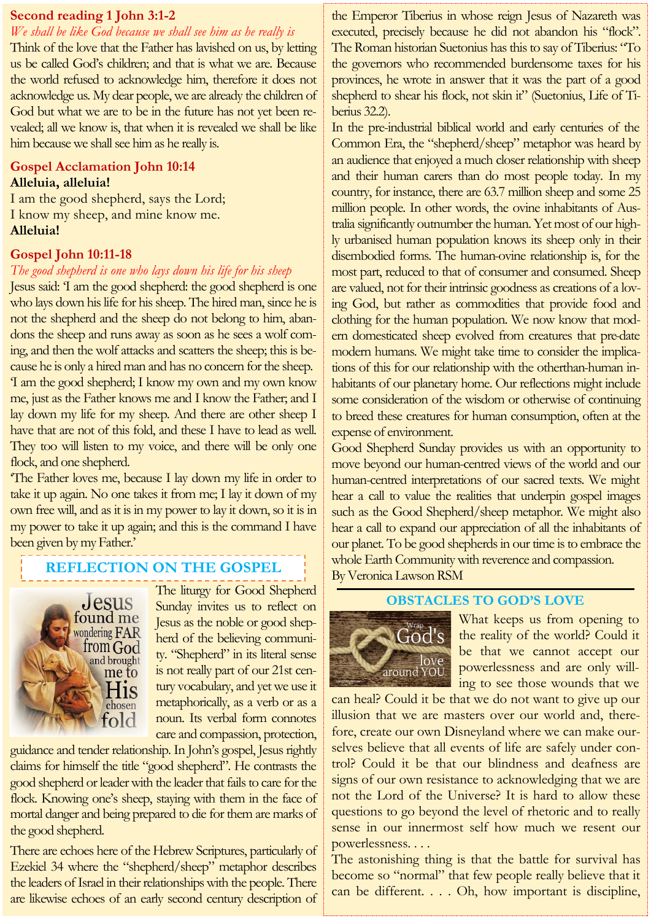#### **Second reading 1 John 3:1-2**

*We shall be like God because we shall see him as he really is*

Think of the love that the Father has lavished on us, by letting us be called God's children; and that is what we are. Because the world refused to acknowledge him, therefore it does not acknowledge us. My dear people, we are already the children of God but what we are to be in the future has not yet been revealed; all we know is, that when it is revealed we shall be like him because we shall see him as he really is.

## **Gospel Acclamation John 10:14 Alleluia, alleluia!**

I am the good shepherd, says the Lord; I know my sheep, and mine know me. **Alleluia!**

### **Gospel John 10:11-18**

#### *The good shepherd is one who lays down his life for his sheep*

Jesus said: 'I am the good shepherd: the good shepherd is one who lays down his life for his sheep. The hired man, since he is not the shepherd and the sheep do not belong to him, abandons the sheep and runs away as soon as he sees a wolf coming, and then the wolf attacks and scatters the sheep; this is because he is only a hired man and has no concern for the sheep. 'I am the good shepherd; I know my own and my own know me, just as the Father knows me and I know the Father; and I lay down my life for my sheep. And there are other sheep I have that are not of this fold, and these I have to lead as well. They too will listen to my voice, and there will be only one flock, and one shepherd.

'The Father loves me, because I lay down my life in order to take it up again. No one takes it from me; I lay it down of my own free will, and as it is in my power to lay it down, so it is in my power to take it up again; and this is the command I have been given by my Father.'

# **REFLECTION ON THE GOSPEL**



The liturgy for Good Shepherd Sunday invites us to reflect on Jesus as the noble or good shepherd of the believing community. "Shepherd" in its literal sense is not really part of our 21st century vocabulary, and yet we use it metaphorically, as a verb or as a noun. Its verbal form connotes care and compassion, protection,

guidance and tender relationship. In John's gospel, Jesus rightly claims for himself the title "good shepherd". He contrasts the good shepherd or leader with the leader that fails to care for the flock. Knowing one's sheep, staying with them in the face of mortal danger and being prepared to die for them are marks of the good shepherd.

There are echoes here of the Hebrew Scriptures, particularly of Ezekiel 34 where the "shepherd/sheep" metaphor describes the leaders of Israel in their relationships with the people. There are likewise echoes of an early second century description of

the Emperor Tiberius in whose reign Jesus of Nazareth was executed, precisely because he did not abandon his "flock". The Roman historian Suetonius has this to say of Tiberius: "To the governors who recommended burdensome taxes for his provinces, he wrote in answer that it was the part of a good shepherd to shear his flock, not skin it" (Suetonius, Life of Tiberius 32.2).

In the pre-industrial biblical world and early centuries of the Common Era, the "shepherd/sheep" metaphor was heard by an audience that enjoyed a much closer relationship with sheep and their human carers than do most people today. In my country, for instance, there are 63.7 million sheep and some 25 million people. In other words, the ovine inhabitants of Australia significantly outnumber the human. Yet most of our highly urbanised human population knows its sheep only in their disembodied forms. The human-ovine relationship is, for the most part, reduced to that of consumer and consumed. Sheep are valued, not for their intrinsic goodness as creations of a loving God, but rather as commodities that provide food and clothing for the human population. We now know that modern domesticated sheep evolved from creatures that pre-date modern humans. We might take time to consider the implications of this for our relationship with the otherthan-human inhabitants of our planetary home. Our reflections might include some consideration of the wisdom or otherwise of continuing to breed these creatures for human consumption, often at the expense of environment.

Good Shepherd Sunday provides us with an opportunity to move beyond our human-centred views of the world and our human-centred interpretations of our sacred texts. We might hear a call to value the realities that underpin gospel images such as the Good Shepherd/sheep metaphor. We might also hear a call to expand our appreciation of all the inhabitants of our planet. To be good shepherds in our time is to embrace the whole Earth Community with reverence and compassion. By Veronica Lawson RSM

#### **OBSTACLES TO GOD'S LOVE**



What keeps us from opening to the reality of the world? Could it be that we cannot accept our powerlessness and are only willing to see those wounds that we

can heal? Could it be that we do not want to give up our illusion that we are masters over our world and, therefore, create our own Disneyland where we can make ourselves believe that all events of life are safely under control? Could it be that our blindness and deafness are signs of our own resistance to acknowledging that we are not the Lord of the Universe? It is hard to allow these questions to go beyond the level of rhetoric and to really sense in our innermost self how much we resent our powerlessness. . . .

The astonishing thing is that the battle for survival has become so "normal" that few people really believe that it can be different. . . . Oh, how important is discipline,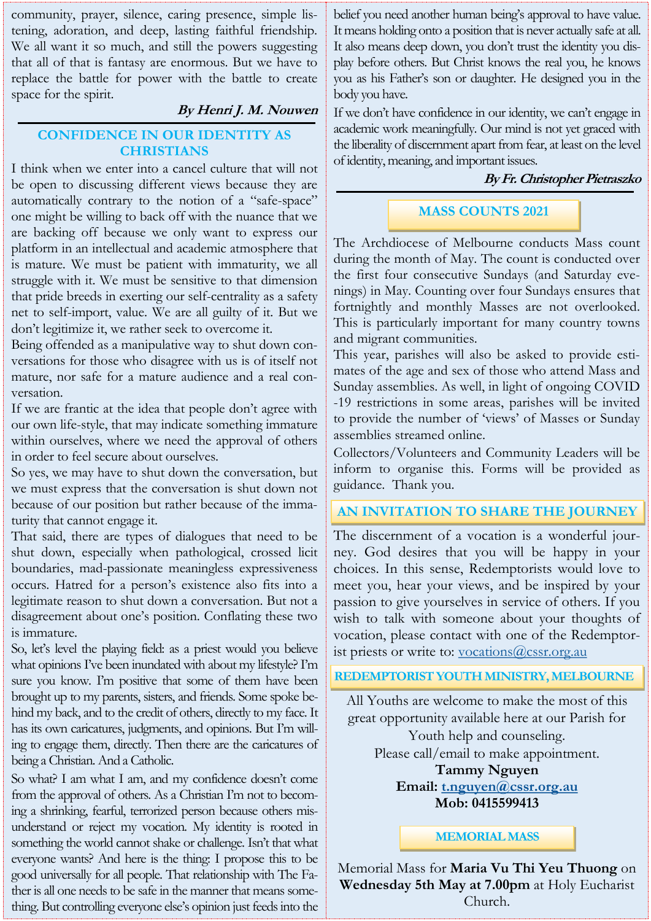community, prayer, silence, caring presence, simple listening, adoration, and deep, lasting faithful friendship. We all want it so much, and still the powers suggesting that all of that is fantasy are enormous. But we have to replace the battle for power with the battle to create space for the spirit.

### **By Henri J. M. Nouwen**

## **CONFIDENCE IN OUR IDENTITY AS CHRISTIANS**

I think when we enter into a cancel culture that will not be open to discussing different views because they are automatically contrary to the notion of a "safe-space" one might be willing to back off with the nuance that we are backing off because we only want to express our platform in an intellectual and academic atmosphere that is mature. We must be patient with immaturity, we all struggle with it. We must be sensitive to that dimension that pride breeds in exerting our self-centrality as a safety net to self-import, value. We are all guilty of it. But we don't legitimize it, we rather seek to overcome it.

Being offended as a manipulative way to shut down conversations for those who disagree with us is of itself not mature, nor safe for a mature audience and a real conversation.

If we are frantic at the idea that people don't agree with our own life-style, that may indicate something immature within ourselves, where we need the approval of others in order to feel secure about ourselves.

So yes, we may have to shut down the conversation, but we must express that the conversation is shut down not because of our position but rather because of the immaturity that cannot engage it.

That said, there are types of dialogues that need to be shut down, especially when pathological, crossed licit boundaries, mad-passionate meaningless expressiveness occurs. Hatred for a person's existence also fits into a legitimate reason to shut down a conversation. But not a disagreement about one's position. Conflating these two is immature.

So, let's level the playing field: as a priest would you believe what opinions I've been inundated with about my lifestyle? I'm sure you know. I'm positive that some of them have been brought up to my parents, sisters, and friends. Some spoke behind my back, and to the credit of others, directly to my face. It has its own caricatures, judgments, and opinions. But I'm willing to engage them, directly. Then there are the caricatures of being a Christian. And a Catholic.

So what? I am what I am, and my confidence doesn't come from the approval of others. As a Christian I'm not to becoming a shrinking, fearful, terrorized person because others misunderstand or reject my vocation. My identity is rooted in something the world cannot shake or challenge. Isn't that what everyone wants? And here is the thing: I propose this to be good universally for all people. That relationship with The Father is all one needs to be safe in the manner that means something. But controlling everyone else's opinion just feeds into the

belief you need another human being's approval to have value. It means holding onto a position that is never actually safe at all. It also means deep down, you don't trust the identity you display before others. But Christ knows the real you, he knows you as his Father's son or daughter. He designed you in the body you have.

If we don't have confidence in our identity, we can't engage in academic work meaningfully. Our mind is not yet graced with the liberality of discernment apart from fear, at least on the level of identity, meaning, and important issues.

## **By Fr. Christopher Pietraszko**

# **MASS COUNTS 2021**

The Archdiocese of Melbourne conducts Mass count during the month of May. The count is conducted over the first four consecutive Sundays (and Saturday evenings) in May. Counting over four Sundays ensures that fortnightly and monthly Masses are not overlooked. This is particularly important for many country towns and migrant communities.

This year, parishes will also be asked to provide estimates of the age and sex of those who attend Mass and Sunday assemblies. As well, in light of ongoing COVID -19 restrictions in some areas, parishes will be invited to provide the number of 'views' of Masses or Sunday assemblies streamed online.

Collectors/Volunteers and Community Leaders will be inform to organise this. Forms will be provided as guidance. Thank you.

## **AN INVITATION TO SHARE THE JOURNEY**

The discernment of a vocation is a wonderful journey. God desires that you will be happy in your choices. In this sense, Redemptorists would love to meet you, hear your views, and be inspired by your passion to give yourselves in service of others. If you wish to talk with someone about your thoughts of vocation, please contact with one of the Redemptorist priests or write to: [vocations@cssr.org.au](mailto:vocations@cssr.org.au)

#### **REDEMPTORIST YOUTH MINISTRY, MELBOURNE**

All Youths are welcome to make the most of this great opportunity available here at our Parish for Youth help and counseling. Please call/email to make appointment. **Tammy Nguyen**

**Email: [t.nguyen@cssr.org.au](mailto:t.nguyen@cssr.org.au) Mob: 0415599413** 

#### **MEMORIAL MASS**

Memorial Mass for **Maria Vu Thi Yeu Thuong** on **Wednesday 5th May at 7.00pm** at Holy Eucharist Church.